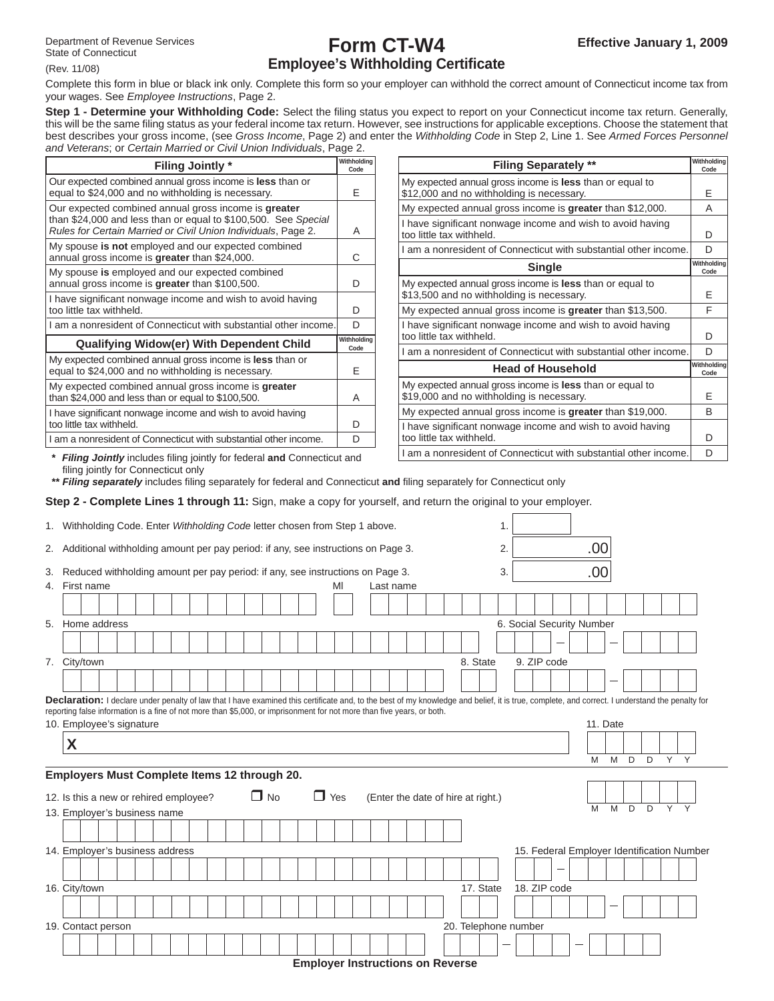(Rev. 11/08)

# **Form CT-W4 Employee's Withholding Certificate**

Complete this form in blue or black ink only. Complete this form so your employer can withhold the correct amount of Connecticut income tax from your wages. See *Employee Instructions*, Page 2.

Step 1 - Determine your Withholding Code: Select the filing status you expect to report on your Connecticut income tax return. Generally, this will be the same fi ling status as your federal income tax return. However, see instructions for applicable exceptions. Choose the statement that best describes your gross income, (see *Gross Income*, Page 2) and enter the *Withholding Code* in Step 2, Line 1. See *Armed Forces Personnel and Veterans*; or *Certain Married or Civil Union Individuals*, Page 2.

| <b>Filing Jointly *</b>                                                                                                                                                                 | Withholding<br>Code |
|-----------------------------------------------------------------------------------------------------------------------------------------------------------------------------------------|---------------------|
| Our expected combined annual gross income is <b>less</b> than or<br>equal to \$24,000 and no withholding is necessary.                                                                  | F                   |
| Our expected combined annual gross income is greater<br>than \$24,000 and less than or equal to \$100,500. See Special<br>Rules for Certain Married or Civil Union Individuals, Page 2. | A                   |
| My spouse is not employed and our expected combined<br>annual gross income is greater than \$24,000.                                                                                    | C                   |
| My spouse is employed and our expected combined<br>annual gross income is greater than \$100,500.                                                                                       | D                   |
| I have significant nonwage income and wish to avoid having<br>too little tax withheld.                                                                                                  | D                   |
| I am a nonresident of Connecticut with substantial other income.                                                                                                                        | D                   |
| <b>Qualifying Widow(er) With Dependent Child</b>                                                                                                                                        | Withholdina<br>Code |
| My expected combined annual gross income is less than or<br>equal to \$24,000 and no withholding is necessary.                                                                          | F                   |
| My expected combined annual gross income is greater<br>than \$24,000 and less than or equal to \$100,500.                                                                               | A                   |
| I have significant nonwage income and wish to avoid having<br>too little tax withheld.                                                                                                  | D                   |
| I am a nonresident of Connecticut with substantial other income.                                                                                                                        | D                   |
|                                                                                                                                                                                         |                     |

| <b>Filing Separately **</b>                                                                                  | Withholdina<br>Code |
|--------------------------------------------------------------------------------------------------------------|---------------------|
| My expected annual gross income is less than or equal to<br>\$12,000 and no withholding is necessary.        | F                   |
| My expected annual gross income is greater than \$12,000.                                                    | А                   |
| I have significant nonwage income and wish to avoid having<br>too little tax withheld.                       | D                   |
| I am a nonresident of Connecticut with substantial other income.                                             | D                   |
| <b>Single</b>                                                                                                | Withholdina<br>Code |
| My expected annual gross income is less than or equal to<br>\$13,500 and no withholding is necessary.        | F                   |
| My expected annual gross income is greater than \$13,500.                                                    | F                   |
| I have significant nonwage income and wish to avoid having<br>too little tax withheld.                       | D                   |
| I am a nonresident of Connecticut with substantial other income.                                             | D                   |
| <b>Head of Household</b>                                                                                     | Withholdina<br>Code |
| My expected annual gross income is <b>less</b> than or equal to<br>\$19,000 and no withholding is necessary. | F                   |
| My expected annual gross income is greater than \$19,000.                                                    | B                   |
| I have significant nonwage income and wish to avoid having<br>too little tax withheld.                       | D                   |
| I am a nonresident of Connecticut with substantial other income.                                             | D                   |

**\*** *Filing Jointly* includes fi ling jointly for federal **and** Connecticut and filing jointly for Connecticut only

\*\* **Filing separately** includes filing separately for federal and Connecticut and filing separately for Connecticut only

**Step 2 - Complete Lines 1 through 11:** Sign, make a copy for yourself, and return the original to your employer.

|          | 1. Withholding Code. Enter Withholding Code letter chosen from Step 1 above.                                                                                                                                                                                                                                             |  |  |  |  |  |           |  |            |    |  |           |                                         |          |           | 1. |                      |  |                           |     |          |                |   |                                            |   |  |
|----------|--------------------------------------------------------------------------------------------------------------------------------------------------------------------------------------------------------------------------------------------------------------------------------------------------------------------------|--|--|--|--|--|-----------|--|------------|----|--|-----------|-----------------------------------------|----------|-----------|----|----------------------|--|---------------------------|-----|----------|----------------|---|--------------------------------------------|---|--|
| 2.       | Additional withholding amount per pay period: if any, see instructions on Page 3.                                                                                                                                                                                                                                        |  |  |  |  |  |           |  |            |    |  |           |                                         |          |           | 2. |                      |  |                           | .00 |          |                |   |                                            |   |  |
| 3.<br>4. | Reduced withholding amount per pay period: if any, see instructions on Page 3.<br>First name                                                                                                                                                                                                                             |  |  |  |  |  |           |  |            | MI |  | Last name |                                         |          |           | 3. |                      |  |                           | .00 |          |                |   |                                            |   |  |
|          |                                                                                                                                                                                                                                                                                                                          |  |  |  |  |  |           |  |            |    |  |           |                                         |          |           |    |                      |  |                           |     |          |                |   |                                            |   |  |
| 5.       | Home address                                                                                                                                                                                                                                                                                                             |  |  |  |  |  |           |  |            |    |  |           |                                         |          |           |    |                      |  | 6. Social Security Number |     |          |                |   |                                            |   |  |
|          |                                                                                                                                                                                                                                                                                                                          |  |  |  |  |  |           |  |            |    |  |           |                                         |          |           |    |                      |  |                           |     |          |                |   |                                            |   |  |
|          | 7. City/town                                                                                                                                                                                                                                                                                                             |  |  |  |  |  |           |  |            |    |  |           |                                         | 8. State |           |    | 9. ZIP code          |  |                           |     |          |                |   |                                            |   |  |
|          |                                                                                                                                                                                                                                                                                                                          |  |  |  |  |  |           |  |            |    |  |           |                                         |          |           |    |                      |  |                           |     |          |                |   |                                            |   |  |
|          | Declaration: I declare under penalty of law that I have examined this certificate and, to the best of my knowledge and belief, it is true, complete, and correct. I understand the penalty for<br>reporting false information is a fine of not more than \$5,000, or imprisonment for not more than five years, or both. |  |  |  |  |  |           |  |            |    |  |           |                                         |          |           |    |                      |  |                           |     |          |                |   |                                            |   |  |
|          | 10. Employee's signature                                                                                                                                                                                                                                                                                                 |  |  |  |  |  |           |  |            |    |  |           |                                         |          |           |    |                      |  |                           |     | 11. Date |                |   |                                            |   |  |
|          | X                                                                                                                                                                                                                                                                                                                        |  |  |  |  |  |           |  |            |    |  |           |                                         |          |           |    |                      |  |                           |     |          |                |   |                                            |   |  |
|          |                                                                                                                                                                                                                                                                                                                          |  |  |  |  |  |           |  |            |    |  |           |                                         |          |           |    |                      |  |                           | M   | M        | D <sub>D</sub> |   | Y                                          | Y |  |
|          | Employers Must Complete Items 12 through 20.                                                                                                                                                                                                                                                                             |  |  |  |  |  |           |  |            |    |  |           |                                         |          |           |    |                      |  |                           |     |          |                |   |                                            |   |  |
|          | 12. Is this a new or rehired employee?                                                                                                                                                                                                                                                                                   |  |  |  |  |  | $\Box$ No |  | $\Box$ Yes |    |  |           | (Enter the date of hire at right.)      |          |           |    |                      |  |                           |     |          |                |   |                                            |   |  |
|          | 13. Employer's business name                                                                                                                                                                                                                                                                                             |  |  |  |  |  |           |  |            |    |  |           |                                         |          |           |    |                      |  |                           | M   | M        | D              | D | $\overline{Y}$                             |   |  |
|          |                                                                                                                                                                                                                                                                                                                          |  |  |  |  |  |           |  |            |    |  |           |                                         |          |           |    |                      |  |                           |     |          |                |   |                                            |   |  |
|          | 14. Employer's business address                                                                                                                                                                                                                                                                                          |  |  |  |  |  |           |  |            |    |  |           |                                         |          |           |    |                      |  |                           |     |          |                |   | 15. Federal Employer Identification Number |   |  |
|          |                                                                                                                                                                                                                                                                                                                          |  |  |  |  |  |           |  |            |    |  |           |                                         |          |           |    |                      |  |                           |     |          |                |   |                                            |   |  |
|          | 16. City/town                                                                                                                                                                                                                                                                                                            |  |  |  |  |  |           |  |            |    |  |           |                                         |          | 17. State |    | 18. ZIP code         |  |                           |     |          |                |   |                                            |   |  |
|          |                                                                                                                                                                                                                                                                                                                          |  |  |  |  |  |           |  |            |    |  |           |                                         |          |           |    |                      |  |                           |     |          |                |   |                                            |   |  |
|          | 19. Contact person                                                                                                                                                                                                                                                                                                       |  |  |  |  |  |           |  |            |    |  |           |                                         |          |           |    | 20. Telephone number |  |                           |     |          |                |   |                                            |   |  |
|          |                                                                                                                                                                                                                                                                                                                          |  |  |  |  |  |           |  |            |    |  |           |                                         |          |           |    |                      |  |                           |     |          |                |   |                                            |   |  |
|          |                                                                                                                                                                                                                                                                                                                          |  |  |  |  |  |           |  |            |    |  |           | <b>Employer Instructions on Reverse</b> |          |           |    |                      |  |                           |     |          |                |   |                                            |   |  |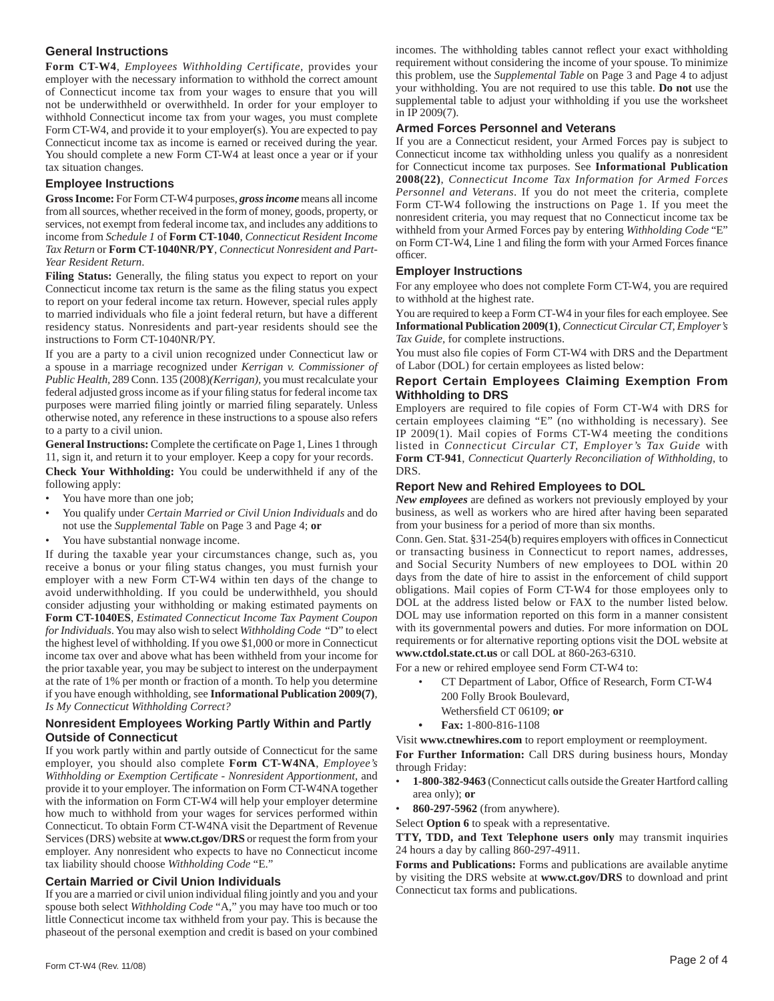# **General Instructions**

**Form CT-W4**, *Employees Withholding Certificate,* provides your employer with the necessary information to withhold the correct amount of Connecticut income tax from your wages to ensure that you will not be underwithheld or overwithheld. In order for your employer to withhold Connecticut income tax from your wages, you must complete Form CT-W4, and provide it to your employer(s). You are expected to pay Connecticut income tax as income is earned or received during the year. You should complete a new Form CT-W4 at least once a year or if your tax situation changes.

#### **Employee Instructions**

**Gross Income:** For Form CT-W4 purposes, *gross income* means all income from all sources, whether received in the form of money, goods, property, or services, not exempt from federal income tax, and includes any additions to income from *Schedule 1* of **Form CT-1040**, *Connecticut Resident Income Tax Return* or **Form CT-1040NR/PY**, *Connecticut Nonresident and Part-Year Resident Return*.

Filing Status: Generally, the filing status you expect to report on your Connecticut income tax return is the same as the filing status you expect to report on your federal income tax return. However, special rules apply to married individuals who file a joint federal return, but have a different residency status. Nonresidents and part-year residents should see the instructions to Form CT-1040NR/PY.

If you are a party to a civil union recognized under Connecticut law or a spouse in a marriage recognized under *Kerrigan v. Commissioner of Public Health,* 289 Conn. 135 (2008)*(Kerrigan),* you must recalculate your federal adjusted gross income as if your filing status for federal income tax purposes were married filing jointly or married filing separately. Unless otherwise noted, any reference in these instructions to a spouse also refers to a party to a civil union.

General Instructions: Complete the certificate on Page 1, Lines 1 through 11, sign it, and return it to your employer. Keep a copy for your records. **Check Your Withholding:** You could be underwithheld if any of the following apply:

- You have more than one job;
- You qualify under *Certain Married or Civil Union Individuals* and do not use the *Supplemental Table* on Page 3 and Page 4; **or**
- You have substantial nonwage income.

If during the taxable year your circumstances change, such as, you receive a bonus or your filing status changes, you must furnish your employer with a new Form CT-W4 within ten days of the change to avoid underwithholding. If you could be underwithheld, you should consider adjusting your withholding or making estimated payments on **Form CT-1040ES**, *Estimated Connecticut Income Tax Payment Coupon for Individuals*. You may also wish to select *Withholding Code* "D" to elect the highest level of withholding. If you owe \$1,000 or more in Connecticut income tax over and above what has been withheld from your income for the prior taxable year, you may be subject to interest on the underpayment at the rate of 1% per month or fraction of a month. To help you determine if you have enough withholding, see **Informational Publication 2009(7)**, *Is My Connecticut Withholding Correct?*

# **Nonresident Employees Working Partly Within and Partly Outside of Connecticut**

If you work partly within and partly outside of Connecticut for the same employer, you should also complete **Form CT-W4NA**, *Employee's Withholding or Exemption Certificate - Nonresident Apportionment, and* provide it to your employer. The information on Form CT-W4NA together with the information on Form CT-W4 will help your employer determine how much to withhold from your wages for services performed within Connecticut. To obtain Form CT-W4NA visit the Department of Revenue Services (DRS) website at **www.ct.gov/DRS** or request the form from your employer. Any nonresident who expects to have no Connecticut income tax liability should choose *Withholding Code* "E."

### **Certain Married or Civil Union Individuals**

If you are a married or civil union individual filing jointly and you and your spouse both select *Withholding Code* "A," you may have too much or too little Connecticut income tax withheld from your pay. This is because the phaseout of the personal exemption and credit is based on your combined incomes. The withholding tables cannot reflect your exact withholding requirement without considering the income of your spouse. To minimize this problem, use the *Supplemental Table* on Page 3 and Page 4 to adjust your withholding. You are not required to use this table. **Do not** use the supplemental table to adjust your withholding if you use the worksheet in IP 2009(7).

#### **Armed Forces Personnel and Veterans**

If you are a Connecticut resident, your Armed Forces pay is subject to Connecticut income tax withholding unless you qualify as a nonresident for Connecticut income tax purposes. See **Informational Publication 2008(22)**, *Connecticut Income Tax Information for Armed Forces Personnel and Veterans*. If you do not meet the criteria, complete Form CT-W4 following the instructions on Page 1. If you meet the nonresident criteria, you may request that no Connecticut income tax be withheld from your Armed Forces pay by entering *Withholding Code* "E" on Form CT-W4, Line 1 and filing the form with your Armed Forces finance officer.

### **Employer Instructions**

For any employee who does not complete Form CT-W4, you are required to withhold at the highest rate.

You are required to keep a Form CT-W4 in your files for each employee. See **Informational Publication 2009(1)**, *Connecticut Circular CT, Employer's Tax Guide,* for complete instructions.

You must also file copies of Form CT-W4 with DRS and the Department of Labor (DOL) for certain employees as listed below:

### **Report Certain Employees Claiming Exemption From Withholding to DRS**

Employers are required to file copies of Form CT-W4 with DRS for certain employees claiming "E" (no withholding is necessary). See IP 2009(1). Mail copies of Forms CT-W4 meeting the conditions listed in *Connecticut Circular CT, Employer's Tax Guide* with **Form CT-941**, *Connecticut Quarterly Reconciliation of Withholding*, to DRS.

### **Report New and Rehired Employees to DOL**

*New employees* are defined as workers not previously employed by your business, as well as workers who are hired after having been separated from your business for a period of more than six months.

Conn. Gen. Stat. §31-254(b) requires employers with offices in Connecticut or transacting business in Connecticut to report names, addresses, and Social Security Numbers of new employees to DOL within 20 days from the date of hire to assist in the enforcement of child support obligations. Mail copies of Form CT-W4 for those employees only to DOL at the address listed below or FAX to the number listed below. DOL may use information reported on this form in a manner consistent with its governmental powers and duties. For more information on DOL requirements or for alternative reporting options visit the DOL website at **www.ctdol.state.ct.us** or call DOL at 860-263-6310.

For a new or rehired employee send Form CT-W4 to:

- CT Department of Labor, Office of Research, Form CT-W4 200 Folly Brook Boulevard,
- Wethersfield CT 06109; or
- **Fax:** 1-800-816-1108

Visit **www.ctnewhires.com** to report employment or reemployment. **For Further Information:** Call DRS during business hours, Monday through Friday:

- **1-800-382-9463** (Connecticut calls outside the Greater Hartford calling area only); **or**
- **860-297-5962** (from anywhere).

Select **Option 6** to speak with a representative.

**TTY, TDD, and Text Telephone users only** may transmit inquiries 24 hours a day by calling 860-297-4911.

**Forms and Publications:** Forms and publications are available anytime by visiting the DRS website at **www.ct.gov/DRS** to download and print Connecticut tax forms and publications.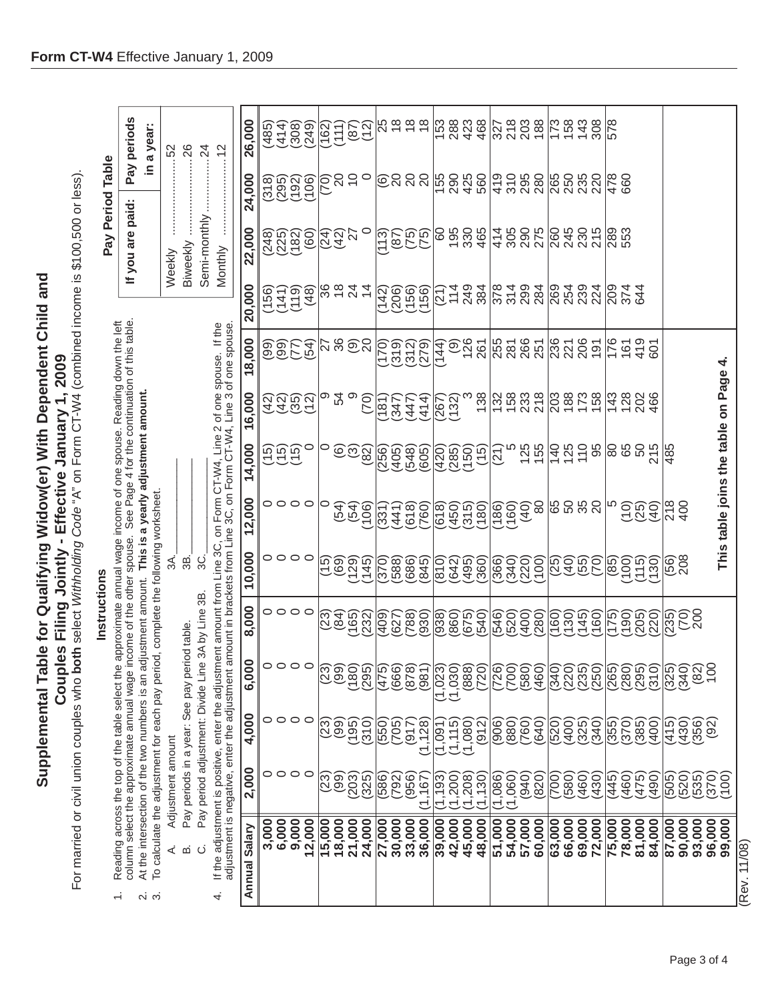**Supplemental Table for Qualifying Widow(er) With Dependent Child and**  Supplemental Table for Qualifying Widow(er) With Dependent Child and Couples Filing Jointly - Effective January 1, 2009 **Couples Filing Jointly - Effective January 1, 2009**

For married or civil union couples who both select *Withholding Code* "A" on Form CT-W4 (combined income is \$100,500 or less).

For married or civil union couples who **both** select *Withholding Code* "A" on Form CT-W4 (combined income is \$100,500 or less).

| g across the top of the table select the approximate annual wage income of one spouse. Read | $\begin{bmatrix} 1 & 0 & 0 \\ 0 & 0 & 0 \\ 0 & 0 & 0 \\ 0 & 0 & 0 \\ 0 & 0 & 0 \\ 0 & 0 & 0 \\ 0 & 0 & 0 \\ 0 & 0 & 0 \\ 0 & 0 & 0 & 0 \\ 0 & 0 & 0 & 0 \\ 0 & 0 & 0 & 0 \\ 0 & 0 & 0 & 0 \\ 0 & 0 & 0 & 0 & 0 \\ 0 & 0 & 0 & 0 & 0 \\ 0 & 0 & 0 & 0 & 0 \\ 0 & 0 & 0 & 0 & 0 & 0 \\ 0 & 0 & 0 & 0 & 0 & 0 \\ 0 & 0 & 0 & 0 & $ |
|---------------------------------------------------------------------------------------------|---------------------------------------------------------------------------------------------------------------------------------------------------------------------------------------------------------------------------------------------------------------------------------------------------------------------------------|
|                                                                                             |                                                                                                                                                                                                                                                                                                                                 |
|                                                                                             |                                                                                                                                                                                                                                                                                                                                 |
|                                                                                             |                                                                                                                                                                                                                                                                                                                                 |
|                                                                                             |                                                                                                                                                                                                                                                                                                                                 |
|                                                                                             | $\ddot{\phantom{a}}$                                                                                                                                                                                                                                                                                                            |
|                                                                                             |                                                                                                                                                                                                                                                                                                                                 |
|                                                                                             |                                                                                                                                                                                                                                                                                                                                 |
|                                                                                             |                                                                                                                                                                                                                                                                                                                                 |
|                                                                                             |                                                                                                                                                                                                                                                                                                                                 |
|                                                                                             |                                                                                                                                                                                                                                                                                                                                 |
|                                                                                             |                                                                                                                                                                                                                                                                                                                                 |
|                                                                                             |                                                                                                                                                                                                                                                                                                                                 |
|                                                                                             |                                                                                                                                                                                                                                                                                                                                 |
|                                                                                             |                                                                                                                                                                                                                                                                                                                                 |

 $\div$ 

Reading across the top of the table select the approximate annual wage income of one spouse. Reading down the left<br>column select the approximate annual wage income of the other spouse. See Page 4 for the continuation of th

At the intersection of the two numbers is an adjustment amount. This is a yearly adjustment amount.  $\ddot{\alpha}$ 

To calculate the adjustment for each pay period, complete the following worksheet.

 $\overline{3B}$ .  $\overline{\mathcal{A}}$ Pay periods in a year: See pay period table. Adjustment amount  $\dot{\prec}$   $\dot{\omega}$ 

Pay period adjustment: Divide Line 3A by Line 3B.

If the adjustment is positive, enter the adjustment amount from Line 3C, on Form CT-W4, Line 2 of one spouse.  $30<sub>1</sub>$  $\ddot{\circ}$ 

**Instructions**<br>2. At the interestine approximate annual wage income of one spouse areading down the left<br>2. At the interestion of the two numbers is an adjustment amount. This is a yearly adjustment amount.<br>3. To calculate Ę  $\overline{1}$ If the  $\overline{\mathcal{L}}$ 

| If the adjustment is positive, enter the adjustment amount from Line 3C, on Form CT-W4, Line 2 of one spouse. If the<br>adjustment is negative, enter the adjustment amount in brackets from Line 3C, on Form CT-W4, Line 3 of on<br>4. |                        |                     |                                 |                                              |                      |                                    |                                                       |                                    |                       |                          | Monthly              | $\cdots$ 12          |                               |
|-----------------------------------------------------------------------------------------------------------------------------------------------------------------------------------------------------------------------------------------|------------------------|---------------------|---------------------------------|----------------------------------------------|----------------------|------------------------------------|-------------------------------------------------------|------------------------------------|-----------------------|--------------------------|----------------------|----------------------|-------------------------------|
| Salary<br>Annual                                                                                                                                                                                                                        | 2,000                  | 4,000               | 6,000                           | 8,000                                        | 10,000               | 12,000                             | 14,000                                                | 16,000                             | 18,000                | 20,000                   | 22,000               | 24,000               | 26,000                        |
|                                                                                                                                                                                                                                         | 0                      |                     |                                 |                                              |                      |                                    |                                                       |                                    |                       | (156)                    |                      | (318)                | (485)                         |
| 3,000<br>6,000                                                                                                                                                                                                                          | $\circ$                | 00                  |                                 |                                              |                      |                                    |                                                       |                                    |                       |                          |                      |                      | (414)                         |
| 9,000                                                                                                                                                                                                                                   | $\circ$                | $\circ$             | $\circ \circ \circ \circ$       | 0000                                         | 0000                 | 0000                               | ອອອດ<br>ປະ                                            | ភ្នំ ភូមិ <u>ភូមិ</u><br>ភូមិ ភូមិ | <b>99556</b><br>99556 | (1108)<br>1108<br>(1108) | 3600<br>1080<br>1080 | 1989<br>1989<br>1989 | (308)                         |
| 12,000                                                                                                                                                                                                                                  | $\circ$                |                     |                                 |                                              |                      |                                    |                                                       |                                    |                       |                          |                      |                      | (249)                         |
| 15,000                                                                                                                                                                                                                                  | (23)                   |                     | (23)                            |                                              |                      | O                                  | $\circ$                                               |                                    |                       |                          |                      | ၉ွေဒေ                |                               |
| 18,000                                                                                                                                                                                                                                  | $\overline{199}$       | <u>ລືດັດ</u><br>ທີ່ | (99)                            | (23)                                         |                      | (54)                               |                                                       | ० पै<br>ए                          | ನಿ ೫ ಹಿನ              |                          | <u>ସ୍ଥି</u><br>ବିଧି  |                      |                               |
| 21,000                                                                                                                                                                                                                                  | (203)                  |                     | (081)                           |                                              |                      |                                    |                                                       | ၜ                                  |                       |                          |                      |                      |                               |
| 24,000                                                                                                                                                                                                                                  | (325)                  | $\overline{(310)}$  | (295)                           | (232)                                        |                      | (301)                              | $\widehat{\odot} \widetilde{\odot} \widetilde{\odot}$ | (70)                               |                       |                          |                      |                      | (162)<br>1110<br>1110<br>1111 |
| 27,000                                                                                                                                                                                                                                  | 586)                   | (550)               | (475)                           | 409                                          | 370                  | (345)<br>(445)<br>(345)            |                                                       | 181                                | 0170                  | (142)                    | <u>18060</u><br>1906 | <b>ତ୍ରି</b> ର ର      | 56666                         |
| 30,000                                                                                                                                                                                                                                  | (792)                  | (705)               | (666)                           | (27)<br>788                                  | (588)                |                                    |                                                       | $\frac{1}{2}42$                    | (312)<br>(312)        | 888<br>NHF               |                      |                      |                               |
| 33,000                                                                                                                                                                                                                                  | (956)                  | (917)               | (878)                           |                                              | (686)                |                                    |                                                       |                                    |                       |                          |                      |                      |                               |
| 36,000                                                                                                                                                                                                                                  | (1, 167)               | 1,128               | (981)                           | 930)                                         | 845)                 |                                    |                                                       | (414)                              | (279)                 |                          |                      |                      |                               |
|                                                                                                                                                                                                                                         | (1, 193)               | 1,091               | (1, 023)                        |                                              | (018)                | (618)                              |                                                       |                                    | (14)<br>44            |                          |                      | 155                  |                               |
| 39,000<br>42,000<br>45,000                                                                                                                                                                                                              |                        | (1, 115)            |                                 | $\left(\frac{0.98}{0.86}\right)$             | (642)                | (450)<br>(450)<br>(400)            |                                                       | $(267)$<br>(132)                   |                       |                          |                      | 295<br>245<br>560    |                               |
|                                                                                                                                                                                                                                         | $(1,200)$<br>$(1,208)$ | (1,080)             |                                 |                                              | (495)                |                                    |                                                       |                                    |                       |                          |                      |                      |                               |
| 48,000                                                                                                                                                                                                                                  | (1, 130)               | (912)               | $(1,030)$<br>$(888)$<br>$(720)$ | 675)<br>540)                                 | (360)                |                                    | (1865)<br>1865<br>1975)                               | 138                                | <b>9267</b><br>287    | $\sqrt{2738}$            | 69,88                |                      | $\frac{888}{78840}$           |
| 51,000                                                                                                                                                                                                                                  | (1,086)                | (906)               | 726)                            | 546)                                         | 366)                 |                                    | (21)                                                  |                                    |                       |                          |                      |                      |                               |
|                                                                                                                                                                                                                                         | (1,060)                |                     |                                 | (520)                                        | (340)                |                                    |                                                       |                                    |                       |                          |                      |                      |                               |
| 54,000<br>57,000                                                                                                                                                                                                                        | (940)                  | (092)<br>(1980)     | (000)                           | (400)                                        | (220)                |                                    | $125$<br>$155$                                        | 138<br>158<br>218                  | 55<br>2865<br>285     | 8288<br>8288             | 43887<br>48887       |                      | 327<br>203<br>188             |
| 60,000                                                                                                                                                                                                                                  | 820)                   | 640                 | 460)                            | (082)                                        |                      |                                    |                                                       |                                    |                       |                          |                      |                      |                               |
| 63,000                                                                                                                                                                                                                                  | 700)                   | 520                 | 340                             |                                              |                      | 8888                               |                                                       | 28278                              | ន្លួន ខ្លួន           | 884<br>85824             | 88885<br>28885       | 85<br>85<br>83<br>82 | 73843                         |
| 66,000                                                                                                                                                                                                                                  | 580)                   | (400)               | (220)                           |                                              | 0960<br>1960         |                                    | 140<br>125                                            |                                    |                       |                          |                      |                      |                               |
| 69,000                                                                                                                                                                                                                                  | 460)                   | 325)<br>340)        | (235)                           |                                              |                      |                                    | $\frac{10}{95}$                                       |                                    |                       |                          |                      |                      |                               |
| 72,000                                                                                                                                                                                                                                  | 430)                   |                     | (250)                           | (091)                                        |                      |                                    |                                                       |                                    |                       |                          |                      |                      | 308                           |
| 75,000                                                                                                                                                                                                                                  | 445)                   | 355                 |                                 | (51)                                         |                      |                                    |                                                       |                                    |                       |                          | 289                  | 478<br>660           | 578                           |
| 78,000                                                                                                                                                                                                                                  | 460)                   | (370)               | $(265)$<br>$(280)$              | (1905)                                       | (85)<br>(00)<br>(88) | <u>ခြစ်</u>                        | 88                                                    | 143<br>128                         | $769$<br>$479$        | 209<br>374               |                      |                      |                               |
| 81,000                                                                                                                                                                                                                                  | (475)                  |                     | (295)                           |                                              |                      |                                    | SO                                                    | 202                                |                       | 644                      |                      |                      |                               |
| 84,000                                                                                                                                                                                                                                  | 490)                   | 400                 | 310                             | (220)                                        | (130)                | $\widetilde{Q}$                    | 215                                                   | 466                                | 601                   |                          |                      |                      |                               |
| 87,000                                                                                                                                                                                                                                  | 505)                   | 415)<br>4           | (325)                           | (235)                                        | $\frac{60}{208}$     | 218<br>400                         | 485                                                   |                                    |                       |                          |                      |                      |                               |
| 90,000                                                                                                                                                                                                                                  | (520)                  | (430)               | (340)                           | $\widetilde{\mathcal{E}}_{\mathbf{X}}^{(2)}$ |                      |                                    |                                                       |                                    |                       |                          |                      |                      |                               |
| 93,000                                                                                                                                                                                                                                  | (535)                  | (356)               | $\frac{(82)}{100}$              |                                              |                      |                                    |                                                       |                                    |                       |                          |                      |                      |                               |
| 96,000<br>99,000                                                                                                                                                                                                                        | (370)                  | (92)                |                                 |                                              |                      |                                    |                                                       |                                    |                       |                          |                      |                      |                               |
|                                                                                                                                                                                                                                         | (00)                   |                     |                                 |                                              |                      | This table joins the table on Page |                                                       |                                    | 4                     |                          |                      |                      |                               |
| Rev. 11/08                                                                                                                                                                                                                              |                        |                     |                                 |                                              |                      |                                    |                                                       |                                    |                       |                          |                      |                      |                               |

Weekly ............................52<br>Biweekly .............................26 Semi-monthly .....................24

Pay periods in a year:

If you are paid:

Pay Period Table